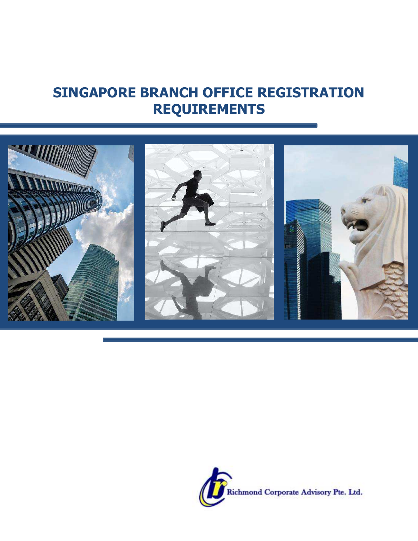# **SINGAPORE BRANCH OFFICE REGISTRATION REQUIREMENTS**



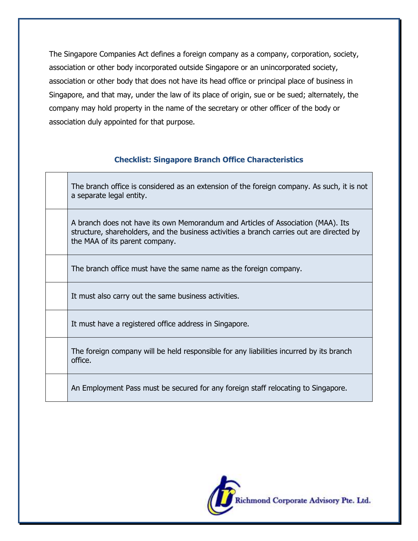The Singapore Companies Act defines a foreign company as a company, corporation, society, association or other body incorporated outside Singapore or an unincorporated society, association or other body that does not have its head office or principal place of business in Singapore, and that may, under the law of its place of origin, sue or be sued; alternately, the company may hold property in the name of the secretary or other officer of the body or association duly appointed for that purpose.

## **Checklist: Singapore Branch Office Characteristics**

The branch office is considered as an extension of the foreign company. As such, it is not a separate legal entity.

A branch does not have its own Memorandum and Articles of Association (MAA). Its structure, shareholders, and the business activities a branch carries out are directed by the MAA of its parent company.

The branch office must have the same name as the foreign company.

It must also carry out the same business activities.

It must have a registered office address in Singapore.

The foreign company will be held responsible for any liabilities incurred by its branch office.

An Employment Pass must be secured for any foreign staff relocating to Singapore.

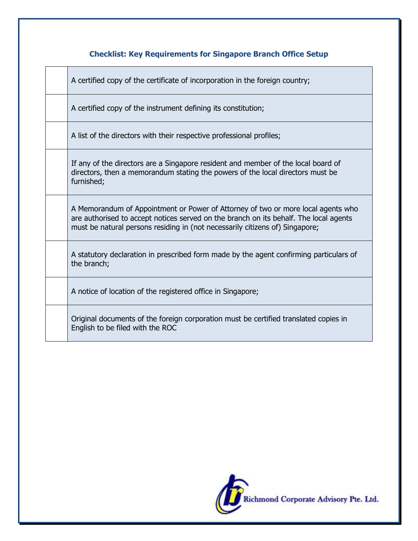# **Checklist: Key Requirements for Singapore Branch Office Setup**

A certified copy of the certificate of incorporation in the foreign country;

A certified copy of the instrument defining its constitution;

A list of the directors with their respective professional profiles;

If any of the directors are a Singapore resident and member of the local board of directors, then a memorandum stating the powers of the local directors must be furnished;

A Memorandum of Appointment or Power of Attorney of two or more local agents who are authorised to accept notices served on the branch on its behalf. The local agents must be natural persons residing in (not necessarily citizens of) Singapore;

A statutory declaration in prescribed form made by the agent confirming particulars of the branch;

A notice of location of the registered office in Singapore;

Original documents of the foreign corporation must be certified translated copies in English to be filed with the ROC